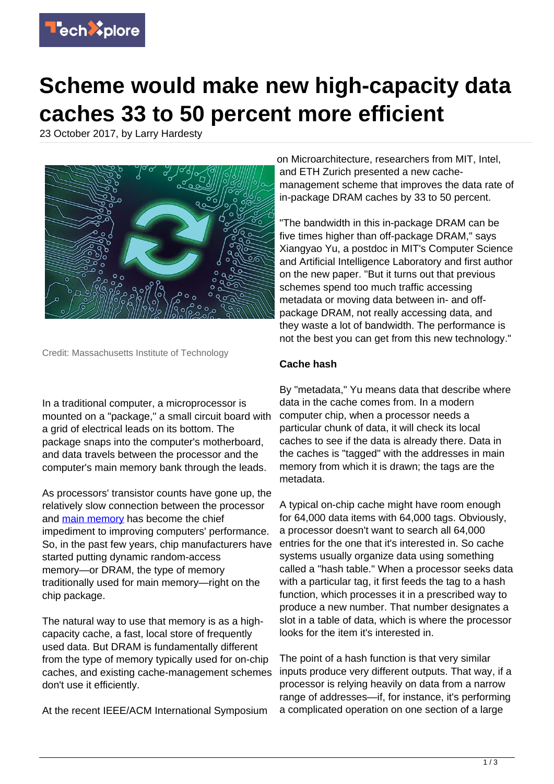

## **Scheme would make new high-capacity data caches 33 to 50 percent more efficient**

23 October 2017, by Larry Hardesty



Credit: Massachusetts Institute of Technology

In a traditional computer, a microprocessor is mounted on a "package," a small circuit board with a grid of electrical leads on its bottom. The package snaps into the computer's motherboard, and data travels between the processor and the computer's main memory bank through the leads.

As processors' transistor counts have gone up, the relatively slow connection between the processor and [main memory](https://techxplore.com/tags/main+memory/) has become the chief impediment to improving computers' performance. So, in the past few years, chip manufacturers have started putting dynamic random-access memory—or DRAM, the type of memory traditionally used for main memory—right on the chip package.

The natural way to use that memory is as a highcapacity cache, a fast, local store of frequently used data. But DRAM is fundamentally different from the type of memory typically used for on-chip caches, and existing cache-management schemes don't use it efficiently.

At the recent IEEE/ACM International Symposium

on Microarchitecture, researchers from MIT, Intel, and ETH Zurich presented a new cachemanagement scheme that improves the data rate of in-package DRAM caches by 33 to 50 percent.

"The bandwidth in this in-package DRAM can be five times higher than off-package DRAM," says Xiangyao Yu, a postdoc in MIT's Computer Science and Artificial Intelligence Laboratory and first author on the new paper. "But it turns out that previous schemes spend too much traffic accessing metadata or moving data between in- and offpackage DRAM, not really accessing data, and they waste a lot of bandwidth. The performance is not the best you can get from this new technology."

## **Cache hash**

By "metadata," Yu means data that describe where data in the cache comes from. In a modern computer chip, when a processor needs a particular chunk of data, it will check its local caches to see if the data is already there. Data in the caches is "tagged" with the addresses in main memory from which it is drawn; the tags are the metadata.

A typical on-chip cache might have room enough for 64,000 data items with 64,000 tags. Obviously, a processor doesn't want to search all 64,000 entries for the one that it's interested in. So cache systems usually organize data using something called a "hash table." When a processor seeks data with a particular tag, it first feeds the tag to a hash function, which processes it in a prescribed way to produce a new number. That number designates a slot in a table of data, which is where the processor looks for the item it's interested in.

The point of a hash function is that very similar inputs produce very different outputs. That way, if a processor is relying heavily on data from a narrow range of addresses—if, for instance, it's performing a complicated operation on one section of a large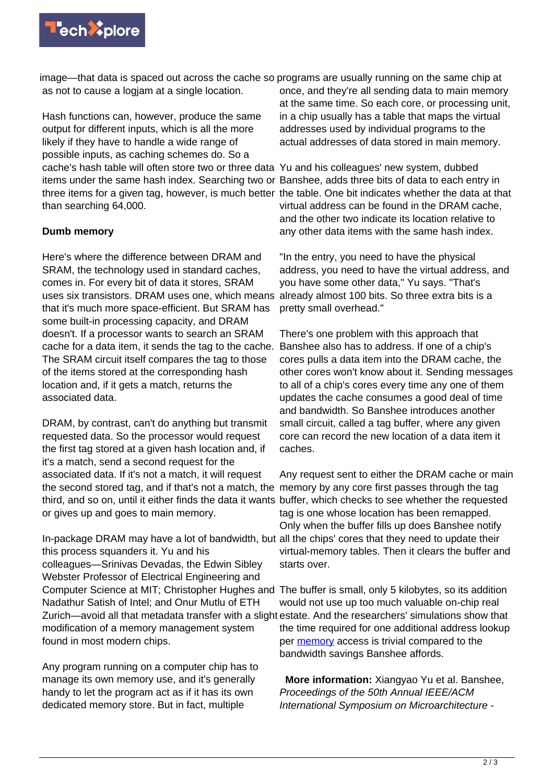

image—that data is spaced out across the cache so programs are usually running on the same chip at as not to cause a logjam at a single location.

Hash functions can, however, produce the same output for different inputs, which is all the more likely if they have to handle a wide range of possible inputs, as caching schemes do. So a cache's hash table will often store two or three data Yu and his colleagues' new system, dubbed items under the same hash index. Searching two or Banshee, adds three bits of data to each entry in three items for a given tag, however, is much better the table. One bit indicates whether the data at that than searching 64,000.

## **Dumb memory**

Here's where the difference between DRAM and SRAM, the technology used in standard caches, comes in. For every bit of data it stores, SRAM uses six transistors. DRAM uses one, which means that it's much more space-efficient. But SRAM has some built-in processing capacity, and DRAM doesn't. If a processor wants to search an SRAM cache for a data item, it sends the tag to the cache. The SRAM circuit itself compares the tag to those of the items stored at the corresponding hash location and, if it gets a match, returns the associated data.

DRAM, by contrast, can't do anything but transmit requested data. So the processor would request the first tag stored at a given hash location and, if it's a match, send a second request for the associated data. If it's not a match, it will request the second stored tag, and if that's not a match, the memory by any core first passes through the tag third, and so on, until it either finds the data it wants buffer, which checks to see whether the requested or gives up and goes to main memory.

In-package DRAM may have a lot of bandwidth, but all the chips' cores that they need to update their this process squanders it. Yu and his colleagues—Srinivas Devadas, the Edwin Sibley Webster Professor of Electrical Engineering and Computer Science at MIT; Christopher Hughes and The buffer is small, only 5 kilobytes, so its addition Nadathur Satish of Intel; and Onur Mutlu of ETH Zurich—avoid all that metadata transfer with a slight estate. And the researchers' simulations show that modification of a memory management system found in most modern chips.

Any program running on a computer chip has to manage its own memory use, and it's generally handy to let the program act as if it has its own dedicated memory store. But in fact, multiple

once, and they're all sending data to main memory at the same time. So each core, or processing unit, in a chip usually has a table that maps the virtual addresses used by individual programs to the actual addresses of data stored in main memory.

virtual address can be found in the DRAM cache, and the other two indicate its location relative to any other data items with the same hash index.

"In the entry, you need to have the physical address, you need to have the virtual address, and you have some other data," Yu says. "That's already almost 100 bits. So three extra bits is a pretty small overhead."

There's one problem with this approach that Banshee also has to address. If one of a chip's cores pulls a data item into the DRAM cache, the other cores won't know about it. Sending messages to all of a chip's cores every time any one of them updates the cache consumes a good deal of time and bandwidth. So Banshee introduces another small circuit, called a tag buffer, where any given core can record the new location of a data item it caches.

Any request sent to either the DRAM cache or main tag is one whose location has been remapped. Only when the buffer fills up does Banshee notify virtual-memory tables. Then it clears the buffer and starts over.

would not use up too much valuable on-chip real the time required for one additional address lookup per [memory](https://techxplore.com/tags/memory/) access is trivial compared to the bandwidth savings Banshee affords.

 **More information:** Xiangyao Yu et al. Banshee, Proceedings of the 50th Annual IEEE/ACM International Symposium on Microarchitecture -